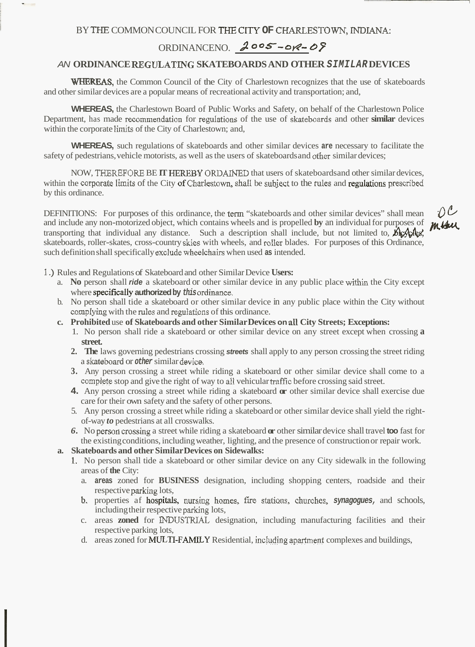## BY THE COMMON COUNCIL FOR THE **CITY OF** CHARLESTOWN, **INDIANA:**

## ORDINANCENO. 2005-0R-09

## *AN* **ORDINANCE REGULATING SKATEBOARDS AND OTHER** *SIMILAR* **DEVICES**

**WHEREAS,** the Common Council of the City of Charlestown recognizes that the use of skateboards and other similar devices are a popular means of recreational activity and transportation; and,

**WHEREAS,** the Charlestown Board of Public Works and Safety, on behalf of the Charlestown Police Department, has made recommendation for regulations of the use of skaieboards and other **similar** devices within the corporate limits of the City of Charlestown; and,

**WHEREAS,** such regulations of skateboards and other similar devices **are** necessary to facilitate the safety of pedestrians, vehicle motorists, as well as the users of skateboards and other similar devices;

NOW, THEFGFOEE BE **IT HEREBY** ORDAINED that users of skateboards and other similar devices, within the **corporate** limits of the City *of* Charlestown, shdl be **subject** to the rules and **sguldons** prescribed by this ordinance.

DEFINITIONS: For purposes of this ordinance, the term "skateboards and other similar devices" shall mean  $\partial C$  and include any non-motorized object, which contains wheels and is propelled by an individual for purposes of and include any non-motorized object, which contains wheels and is propelled by an individual for purposes of transporting that individual any distance. Such a description shall include, but not limited to,  $\partial \phi \partial \phi$ , skateboards, roller-skates, cross-country skies with wheels, and roller blades. For purposes of this Ordinance, such definition shall specifically exclude wheelchairs when used **as** intended.

- 1 .) Rules and Regulations of Skateboard and other Similar Device **Users:** 
	- a. **No** person shall *ride* a skateboard or other similar device in any public place withii the City except where qxcifieally **authorized by** *this* ordinance.
	- b. No person shall tide a skateboard or other similar device in any public place within the City without compiying with the **mIes** and reguIations of this ordinance.
	- **c. Prohibited** use **of Skateboards and other Similar Devices on all City Streets; Exceptions:** 
		- 1. No person shall ride a skateboard or other similar device on any street except when crossing **a street.**
		- **2. The** laws governing pedestrians crossing *streets* shall apply to any person crossing the street riding a skateboard or other similar device.
		- **3.** Any person crossing a street while riding a skateboard or other similar device shall come to a compiete stop and give the right of way to all vehicular traffic before crossing said street.
		- **4.** Any person crossing a street while riding a skateboard **or** other similar device shall exercise due care for their own safety and the safety of other persons.
		- 5. Any person crossing a street while riding a skateboard or other similar device shall yield the rightof-way *to* pedestrians at all crosswalks.
		- *6.* No person crossing a street while riding a skateboard **or** other similar device shall travel **too** fast for the existing conditions, including weather, lighting, and the presence of construction or repair work.
	- **a. Skateboards and other Similar Devices on Sidewalks:** 
		- 1. No person shall tide a skateboard or other similar device on any City sidewalk in the following areas of **the** City:
			- a. **areas** zoned for **BUSINESS** designation, including shopping centers, roadside and their respective parking lots,
			- b. properties af hospitals, nursing homes, fire stations, churches, synagogues, and schools, including their respective parking lots,
			- c. areas **zoned** for INDUSTRIAL designation, including manufacturing facilities and their respective parking lots,
			- d. areas zoned for MULTI-FAMILY Residential, including apartment complexes and buildings,

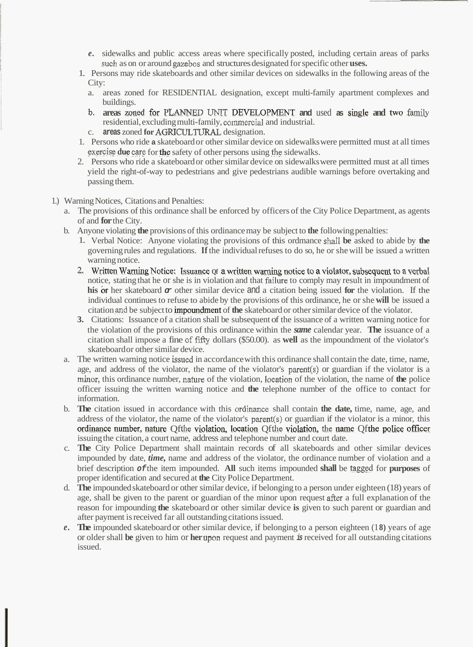- *e.* sidewalks and public access areas where specifically posted, including certain areas of parks swh as on or around gazebos and structures designated for specific other **uses.**
- 1. Persons may ride skateboards and other similar devices on sidewalks in the following areas of the City:
	- a. areas zoned for RESIDENTIAL designation, except multi-family apartment complexes and buildings.
	- **b. areas zoned for PLANNED UNIT DEVELOPMENT and used as single and two family** residential, excluding multi-family, commercial and industrial.
	- c. **areas** zoned **for AGRICULIIZTRAL** designation.
- 1. Persons who ride **a** skateboard or other similar device on sidewalks were permitted must at all times exercise **due** care for **the** safety of other persons using the sidewalks.
- 2. Persons who ride a skateboard or other similar device on sidewalks were permitted must at all times yield the right-of-way to pedestrians and give pedestrians audible warnings before overtaking and passing them.
- 1.) Warning Notices, Citations and Penalties:
	- a. The provisions of this ordinance shall be enforced by officers of the City Police Department, as agents of and **for** the City.
	- b. Anyone violating **the** provisions of this ordinance may be subject to **the** following penalties:
		- 1. Verbal Notice: Anyone violating the provisions of this ordmance **shatl be** asked to abide by **the**  governing rules and regulations. **If** the individual refuses to do so, he or she will be issued a written warning notice.
		- 2. Written Warning Notice: Issuance or a written warning notice to a violator, subsequent to a verbal notice, stating that he or she is in violation and that failure to comply may result in impoundment of **his** *Or* her skateboard *or* other similar device and a citation being issued **for** the violation. If the individual continues to refuse to abide by the provisions of this ordinance, he or she **will** be issued a citation and be subject to **impoundment** of **the** skateboard or other similar device of the violator.
		- **3.** Citations: Issuance of a citation shall be subsequent of the issuance of a written warning notice for the violation of the provisions of this ordinance within the *same* calendar year. **The** issuance of a citation shall impose a fine of fifty dollars (\$50.00). as well as the impoundment of the violator's skateboard or other similar device.
	- a. The written warning notice issued in accordance with this ordinance shall contain the date, time, name, age, and address of the violator, the name of the violator's parent(s) or guardian if the violator is a minor, this ordinance number, nature of the violation, foeation of the violation, the name of **the** police officer issuing the written warning notice and **the** telephone number of the office to contact for information.
	- b. **The** citation issued in accordance with this ordinance shall contain **the date,** time, name, age, and address of the violator, the name of the violator's parent(s) or guardian if the violator is a minor, this **ordinance number, nature Ofthe violation, location Ofthe violation, the name Ofthe police officer** issuing the citation, a court name, address and telephone number and court date.
	- c. **The** City Police Department shall maintain records of all skateboards and other similar devices impounded by date, *time,* name and address of the violator, the ordinance number of violation and a brief description *of* the item impounded. **All** such items impounded **shall** be tagged for **purposes** of proper identification and secured at **the** City Police Department.
	- d. **The** impounded skateboard or other similar device, if belonging to a person under eighteen (18) years of age, shall be given to the parent or guardian of the minor upon request after a full explanation of the reason for impounding **the** skateboard or other similar device **is** given to such parent or guardian and after payment is received far all outstanding citations issued.
	- *e*. The impounded skateboard or other similar device, if belonging to a person eighteen (18) years of age or older shall **be** given to him or **her** upon request and payment *is* received for all outstanding citations issued.